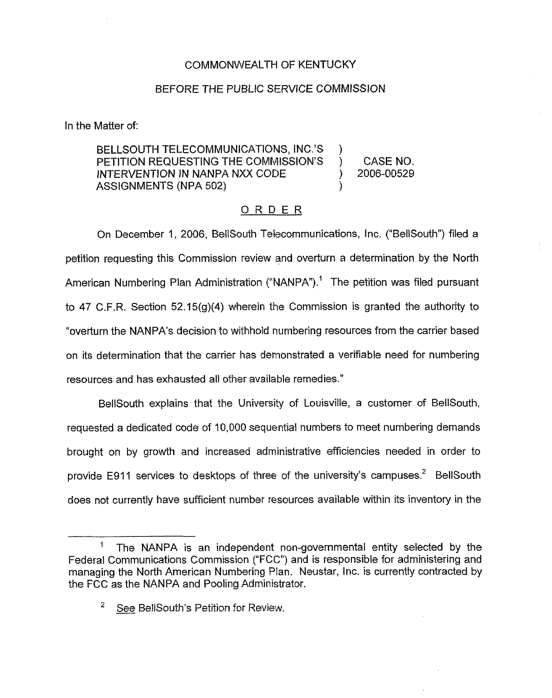## COMMONWEALTH OF KENTUCKY

## BEFORE THE PUBLIC SERVICE COMMISSION

In the Matter of:

## BELLSOUTH TELECOMMUNICATIONS, INC.'S )<br>PETITION REQUESTING THE COMMISSION'S PETITION REQUESTING THE COMMISSION'S ) CASE NO.<br>INTERVENTION IN NANPA NXX CODE ) 2006-00529 INTERVENTION IN NANPA NXX CODE ASSIGNMENTS (NPA 502)

## ORDER

On December 1, 2006, BellSouth Telecommunications, Inc. ("BellSouth") filed a petition requesting this Commission review and overturn a determination by the North American Numbering Plan Administration ("NANPA").<sup>1</sup> The petition was filed pursuant to 47 C.F.R. Section 52.15(g)(4) wherein the Commission is granted the authority to "overturn the NANPA's decision to withhold numbering resources from the carrier based on its determination that the carrier has demonstrated a veritiable need for numbering resources and has exhausted all other available remedies."

BellSouth explains that the University of Louisville, a customer of BellSouth, requested a dedicated code of 10,000 sequential numbers to meet numbering demands brought on by growth and increased administrative efficiencies needed in order to provide E911 services to desktops of three of the university's campuses.<sup>2</sup> BellSouth does not currently have sufficient number resources available within its inventory in the

 $\pmb{\mathfrak{f}}$ The NANPA is an independent non-governmental entity selected by the Federal Communications Commission ("FCC") and is responsible for administering and managing the North American Numbering Plan. Neustar, inc. is currently contracted by the FCC as the NANPA and Pooling Administrator.

See BellSouth's Petition for Review.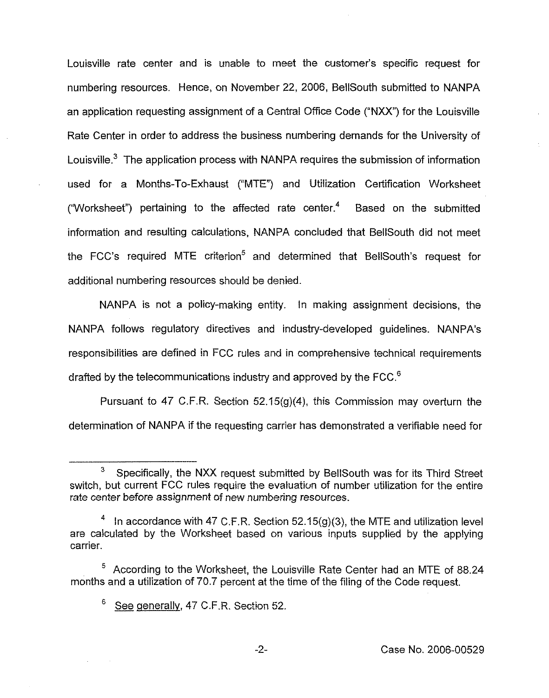Louisville rate center and is unable to meet the customer's specific request for numbering resources. Hence, on November 22, 2006, BellSouth submitted to NANPA an application requesting assignment of a Central Office Code ("NXX") for the Louisville Rate Center in order to address the business numbering demands for the University of Louisville.<sup>3</sup> The application process with NANPA requires the submission of information used for a Months-To-Exhaust ("MTE") and Utilization Certification Worksheet ("Worksheet") pertaining to the affected rate center. $4$  Based on the submitted information and resulting calculations, NANPA concluded that BellSouth did not meet the FCC's required MTE criterion<sup>5</sup> and determined that BellSouth's request for additional numbering resources should be denied.

NANPA is not a policy-making entity. In making assignment decisions, the NANPA follows regulatory directives and industry-developed guidelines. NANPA's responsibilities are defined in FCC rules and in comprehensive technical requirements drafted by the telecommunications industry and approved by the FCC.<sup>6</sup>

Pursuant to 47 C.F.R. Section  $52.15(g)(4)$ , this Commission may overturn the determination of NANPA if the requesting carrier has demonstrated a verifiable need for

<sup>3</sup> Specifically, the NXX request submitted by BellSouth was for its Third Street switch, but current FCC rules require the evaluation of number utilization for the entire rate center before assignment of new numbering resources.

In accordance with 47 C.F.R. Section  $52.15(g)(3)$ , the MTE and utilization level are calculated by the Worksheet based on various inputs supplied by the applying carrier.

 $5$  According to the Worksheet, the Louisville Rate Center had an MTE of 88.24 months and a utilization of 70.7 percent at the time of the filing of the Code request.

<sup>6</sup> See generally, 47 C.F.R. Section 52.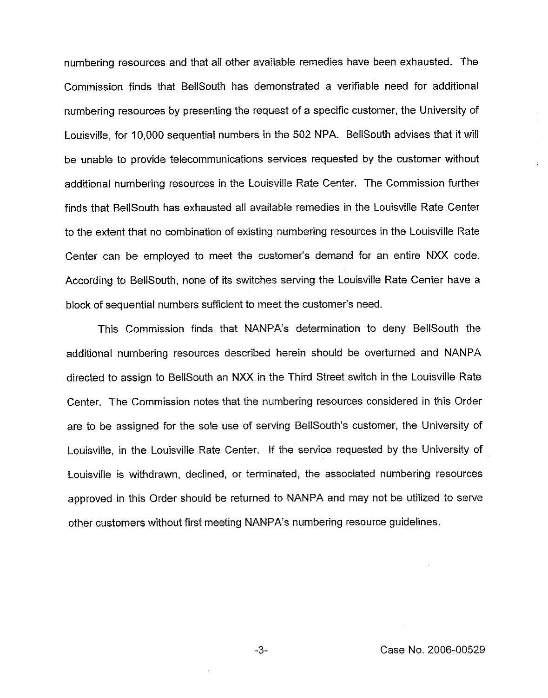numbering resources and that all other available remedies have been exhausted. The Commission finds that BellSouth has demonstrated a verifiable need for additional numbering resources by presenting the request of a specific customer, the University of Louisville, for 10,000 sequential numbers in the 502 NPA. BellSouth advises that it will be unable to provide telecommunications services requested by the customer without additional numbering resources in the Louisville Rate Center. The Commission further finds that BellSouth has exhausted all available remedies in the Louisville Rate Center to the extent that no combination of existing numbering resources in the Louisville Rate Center can be employed to meet the customer's demand for an entire NXX code. According to BellSouth, none of its switches serving the Louisville Rate Center have a block of sequential numbers sufficient to meet the customer's need.

This Commission finds that NANPA's determination to deny BellSouth the additional numbering resources described herein should be overturned and NANPA directed to assign to BellSouth an NXX in the Third Street switch in the Louisville Rate Center. The Commission notes that the numbering resources considered in this Order are to be assigned for the sole use of serving BeilSouth's customer, the University of Louisville, in the Louisville Rate Center. lf the service requested by the University of Louisville is withdrawn, declined, or terminated, the associated numbering resources approved in this Order should be returned to NANPA and may not be utilized to serve other customers without first meeting NANPA's numbering resource guidelines.

 $-3-$